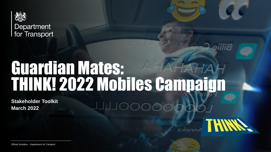

Department for Transport

# Guardian Mates: THINK! 2022 Mobiles Campaign

**Stakeholder Toolkit March 2022**

**AINT RADIOS** 

**Collins** 

Official Sensitive - Department for Transport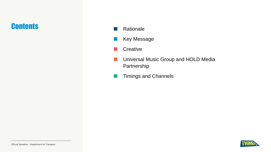## **Contents**

- **Rationale**
- **Key Message**
- **Creative**
- Universal Music Group and HOLD Media Partnership
- **Timings and Channels**

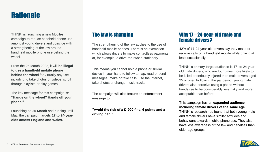## **Rationale**

THINK! is launching a new Mobiles campaign to reduce handheld phone use amongst young drivers and coincide with a strengthening of the law around handheld mobile phone use behind the wheel.

From the 25 March 2022, it will **be illegal to use a handheld mobile phone behind the wheel** for virtually any use, including to take photos or videos, scroll through playlists or play games.

The key message for this campaign is: **"Hands on the wheel? Hands off your phone."**

Launching on **25 March** and running until May, the campaign targets **17 to 24-yearolds across England and Wales.**

### The law is changing

The strengthening of the law applies to the use of handheld mobile phones. There is an exemption which allows drivers to make contactless payments at, for example, a drive-thru when stationary.

This means you cannot hold a phone or similar device in your hand to follow a map, read or send messages, make or take calls, use the Internet, take photos or change music tracks.

The campaign will also feature an enforcement message to:

**"Avoid the risk of a £1000 fine, 6 points and a driving ban."**

### Why 17 – 24-year-old male and female drivers?

42% of 17-24-year-old drivers say they make or receive calls on a handheld mobile while driving at least occasionally.

THINK!'s primary target audience is 17- to 24-yearold male drivers, who are four times more likely to be killed or seriously injured than male drivers aged 25 or over. Following the pandemic, young male drivers also perceive using a phone without handsfree to be considerably less risky and more acceptable than before.

#### This campaign has an **expanded audience including female drivers of the same age**.

THINK!'s research has found that both young male and female drivers have similar attitudes and behaviours towards mobile phone use. They also have less awareness of the law and penalties than older age groups.

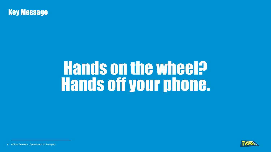

# Hands on the wheel? Hands off your phone.



4 Official Sensitive - Department for Transport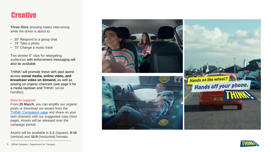## **Creative**

**Three films** showing mates intervening while the driver is about to:

- 30" Respond to a group chat
- 15" Take a photo
- 15" Change a music track

Two shorter 6" clips for retargeting audiences with enforcement messaging will also be available.

THINK! will promote these with paid spend across **social media, online video, and broadcast video on demand,** as well as posting on organic channels (see page 9 for a media laydown and THINK! social handles).

#### **How to support**

From **25 March**, you can amplify our organic posts or download our assets from the [THINK! Campaigns page](https://www.think.gov.uk/campaign/mobiles-2022/) and share on your own channels with our suggested copy (next page). Assets will be released over the campaign period.

Assets will be available in **1:1** (square), **9:16** (vertical) and **16:9** (horizontal) formats.



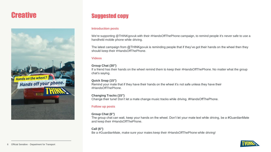# **Creative**



## Suggested copy

#### **Introduction posts**

We're supporting @THINKgovuk with their #HandsOffThePhone campaign, to remind people it's never safe to use a handheld mobile phone while driving.

The latest campaign from @THINKgovuk is reminding people that if they've got their hands on the wheel then they should keep their #HandsOffThePhone.

#### **Videos**

#### **Group Chat (30")**

If a friend has their hands on the wheel remind them to keep their #HandsOffThePhone. No matter what the group chat's saying.

#### **Quick Snap (15")**

Remind your mate that if they have their hands on the wheel it's not safe unless they have their #HandsOffThePhone.

#### **Changing Tracks (15")**

Change their tune! Don't let a mate change music tracks while driving. #HandsOffThePhone.

#### **Follow up posts**

#### **Group Chat (6")**

The group chat can wait, keep your hands on the wheel. Don't let your mate text while driving, be a #GuardianMate and keep their #HandsOffThePhone.

#### **Call (6")**

Be a #GuardianMate, make sure your mates keep their #HandsOffThePhone while driving!

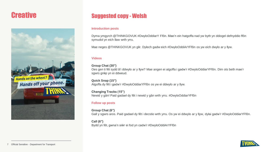# **Creative**



## Suggested copy - Welsh

#### **Introduction posts**

Dyma ymgyrch @THINKGOVUK #DwyloOddiarY Ffôn. Mae'n ein hatgoffa nad yw byth yn ddiogel defnyddio ffôn symudol yn eich llaw wrth yrru.

Mae neges @THINKGOVUK yn glir. Dylech gadw eich #DwyloOddiArYFfôn os yw eich dwylo ar y llyw.

#### **Videos**

#### **Group Chat (30")**

Oes gen ti fêt sydd â'i ddwylo ar y llyw? Mae angen ei atgoffa i gadw'r #DwyloOddiarYFfôn. Dim ots beth mae'r sgwrs grŵp yn ei ddweud.

**Quick Snap (15")** Atgoffa dy fêt i gadw'r #DwyloOddiarYFfôn os yw ei ddwylo ar y llyw.

**Changing Tracks (15")** Newid y gân! Paid gadael dy fêt i newid y gân wrth yrru. #DwyloOddiarYFfôn

#### **Follow up posts**

**Group Chat (6")** Gall y sgwrs aros. Paid gadael dy fêt i decstio wrth yrru. Os yw ei ddwylo ar y llyw, dylai gadw'r #DwyloOddiarYFfôn.

**Call (6")** Bydd yn fêt, gwna'n siŵr ei fod yn cadw'r #DwyloOddiArYFfôn

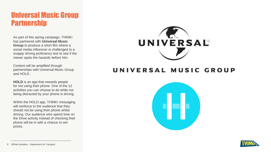## Universal Music Group Partnership

As part of this spring campaign, THINK! has partnered with **Universal Music Group** to produce a short film where a social media influencer is challenged to a snappy driving proficiency test to see if the viewer spots the hazards before him.

Content will be amplified through partnerships with Universal Music Group and HOLD.

**HOLD** is an app that rewards people for not using their phone. One of the 12 activities you can choose to do while not being distracted by your phone is driving.

Within the HOLD app, THINK! messaging will reinforce to the audience that they should not be using their phone whilst driving. Our audience who spend time on the Drive activity instead of checking their phone will be in with a chance to win prizes.



## UNIVERSAL MUSIC GROUP



8 Official Sensitive - Department for Transport

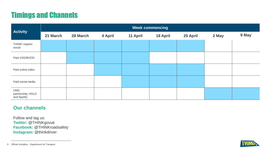# Timings and Channels

| <b>Activity</b>                                | <b>Week commencing</b> |          |         |          |          |          |       |       |
|------------------------------------------------|------------------------|----------|---------|----------|----------|----------|-------|-------|
|                                                | 21 March               | 28 March | 4 April | 11 April | 18 April | 25 April | 2 May | 9 May |
| THINK! organic<br>social                       |                        |          |         |          |          |          |       |       |
| Paid VOD/BVOD                                  |                        |          |         |          |          |          |       |       |
| Paid online video                              |                        |          |         |          |          |          |       |       |
| Paid social media                              |                        |          |         |          |          |          |       |       |
| <b>UMG</b><br>partnership, HOLD<br>and Spotify |                        |          |         |          |          |          |       |       |

### **Our channels**

Follow and tag us: **Twitter:** @THINKgovuk **Facebook:** @THINKroadsafety **Instagram:** @thinkdriver